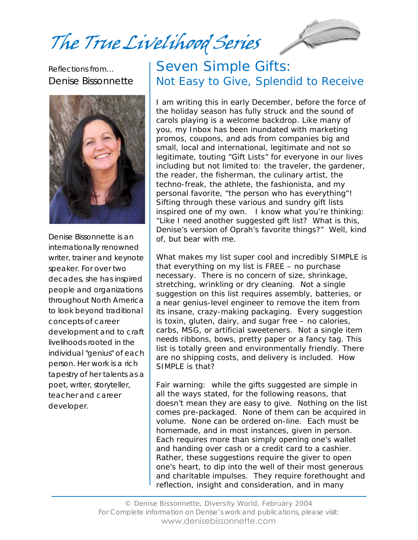The True Livelihood Series



Reflections from… Denise Bissonnette



Denise Bissonnette is an internationally renowned writer, trainer and keynote speaker. For over two decades, she has inspired people and organizations throughout North America to look beyond traditional concepts of career development and to craft livelihoods rooted in the individual "genius" of each person. Her work is a rich tapestry of her talents as a poet, writer, storyteller, teacher and career developer.

## Seven Simple Gifts: Not Easy to Give, Splendid to Receive

I am writing this in early December, before the force of the holiday season has fully struck and the sound of carols playing is a welcome backdrop. Like many of you, my Inbox has been inundated with marketing promos, coupons, and ads from companies big and small, local and international, legitimate and not so legitimate, touting "Gift Lists" for everyone in our lives including but not limited to: the traveler, the gardener, the reader, the fisherman, the culinary artist, the techno-freak, the athlete, the fashionista, and my personal favorite, "the person who has everything"! Sifting through these various and sundry gift lists inspired one of my own. I know what you're thinking: "Like I need another suggested gift list? What is this, Denise's version of Oprah's favorite things?" Well, kind of, but bear with me.

What makes my list super cool and incredibly SIMPLE is that everything on my list is FREE – no purchase necessary. There is no concern of size, shrinkage, stretching, wrinkling or dry cleaning. Not a single suggestion on this list requires assembly, batteries, or a near genius-level engineer to remove the item from its insane, crazy-making packaging. Every suggestion is toxin, gluten, dairy, and sugar free – no calories, carbs, MSG, or artificial sweeteners. Not a single item needs ribbons, bows, pretty paper or a fancy tag. This list is totally green and environmentally friendly. There are no shipping costs, and delivery is included. How SIMPLE is that?

Fair warning: while the gifts suggested are simple in all the ways stated, for the following reasons, that doesn't mean they are easy to give. Nothing on the list comes pre-packaged. None of them can be acquired in volume. None can be ordered on-line. Each must be homemade, and in most instances, given in person. Each requires more than simply opening one's wallet and handing over cash or a credit card to a cashier. Rather, these suggestions require the giver to open one's heart, to dip into the well of their most generous and charitable impulses. They require forethought and reflection, insight and consideration, and in many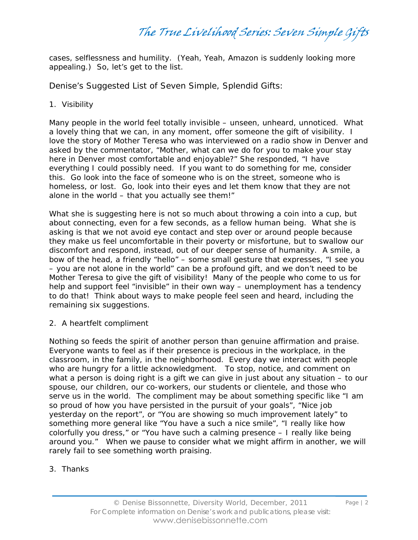cases, selflessness and humility. (Yeah, Yeah, Amazon is suddenly looking more appealing.) So, let's get to the list.

Denise's Suggested List of Seven Simple, Splendid Gifts:

1. Visibility

Many people in the world feel totally invisible – unseen, unheard, unnoticed. What a lovely thing that we can, in any moment, offer someone the gift of visibility. I love the story of Mother Teresa who was interviewed on a radio show in Denver and asked by the commentator, "Mother, what can we do for you to make your stay here in Denver most comfortable and enjoyable?" She responded, "I have everything I could possibly need. If you want to do something for me, consider this. Go look into the face of someone who is on the street, someone who is homeless, or lost. Go, look into their eyes and let them know that they are not alone in the world – that you actually see them!"

What she is suggesting here is not so much about throwing a coin into a cup, but about connecting, even for a few seconds, as a fellow human being. What she is asking is that we not avoid eye contact and step over or around people because they make us feel uncomfortable in their poverty or misfortune, but to swallow our discomfort and respond, instead, out of our deeper sense of humanity. A smile, a bow of the head, a friendly "hello" – some small gesture that expresses, "I see you – you are not alone in the world" can be a profound gift, and we don't need to be Mother Teresa to give the gift of visibility! Many of the people who come to us for help and support feel "invisible" in their own way – unemployment has a tendency to do that! Think about ways to make people feel seen and heard, including the remaining six suggestions.

2. A heartfelt compliment

Nothing so feeds the spirit of another person than genuine affirmation and praise. Everyone wants to feel as if their presence is precious in the workplace, in the classroom, in the family, in the neighborhood. Every day we interact with people who are hungry for a little acknowledgment. To stop, notice, and comment on what a person is doing right is a gift we can give in just about any situation – to our spouse, our children, our co-workers, our students or clientele, and those who serve us in the world. The compliment may be about something specific like "I am so proud of how you have persisted in the pursuit of your goals", "Nice job yesterday on the report", or "You are showing so much improvement lately" to something more general like "You have a such a nice smile", "I really like how colorfully you dress," or "You have such a calming presence – I really like being around you." When we pause to consider what we might affirm in another, we will rarely fail to see something worth praising.

### 3. Thanks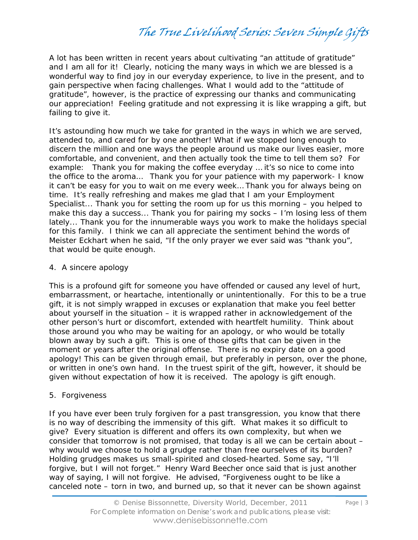The True Livelihood Series: Seven Simple Gifts

A lot has been written in recent years about cultivating "an attitude of gratitude" and I am all for it! Clearly, noticing the many ways in which we are blessed is a wonderful way to find joy in our everyday experience, to live in the present, and to gain perspective when facing challenges. What I would add to the "attitude of gratitude", however, is the practice of expressing our thanks and communicating our appreciation! Feeling gratitude and not expressing it is like wrapping a gift, but failing to give it.

It's astounding how much we take for granted in the ways in which we are served, attended to, and cared for by one another! What if we stopped long enough to discern the million and one ways the people around us make our lives easier, more comfortable, and convenient, and then actually took the time to tell them so? For example: Thank you for making the coffee everyday … it's so nice to come into the office to the aroma… Thank you for your patience with my paperwork- I know it can't be easy for you to wait on me every week… Thank you for always being on time. It's really refreshing and makes me glad that I am your Employment Specialist... Thank you for setting the room up for us this morning – you helped to make this day a success... Thank you for pairing my socks – I'm losing less of them lately... Thank you for the innumerable ways you work to make the holidays special for this family. I think we can all appreciate the sentiment behind the words of Meister Eckhart when he said, "If the only prayer we ever said was "thank you", that would be quite enough.

#### 4. A sincere apology

This is a profound gift for someone you have offended or caused any level of hurt, embarrassment, or heartache, intentionally or unintentionally. For this to be a true gift, it is not simply wrapped in excuses or explanation that make you feel better about yourself in the situation – it is wrapped rather in acknowledgement of the other person's hurt or discomfort, extended with heartfelt humility. Think about those around you who may be waiting for an apology, or who would be totally blown away by such a gift. This is one of those gifts that can be given in the moment or years after the original offense. There is no expiry date on a good apology! This can be given through email, but preferably in person, over the phone, or written in one's own hand. In the truest spirit of the gift, however, it should be given without expectation of how it is received. The apology is gift enough.

#### 5. Forgiveness

If you have ever been truly forgiven for a past transgression, you know that there is no way of describing the immensity of this gift. What makes it so difficult to give? Every situation is different and offers its own complexity, but when we consider that tomorrow is not promised, that today is all we can be certain about – why would we choose to hold a grudge rather than free ourselves of its burden? Holding grudges makes us small-spirited and closed-hearted. Some say, "I'll forgive, but I will not forget." Henry Ward Beecher once said that is just another way of saying, I will not forgive. He advised, "Forgiveness ought to be like a canceled note – torn in two, and burned up, so that it never can be shown against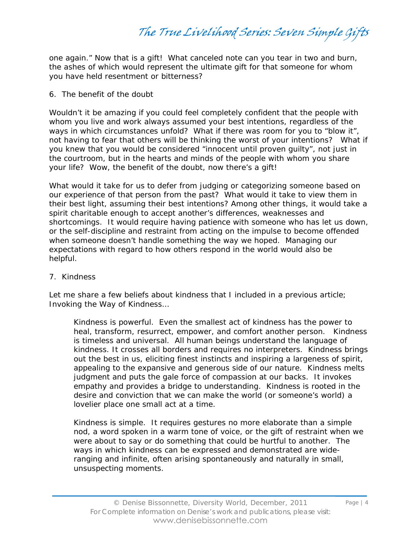The True Livelihood Series: Seven Simple Gifts

one again." Now that is a gift! What canceled note can you tear in two and burn, the ashes of which would represent the ultimate gift for that someone for whom you have held resentment or bitterness?

6. The benefit of the doubt

Wouldn't it be amazing if you could feel completely confident that the people with whom you live and work always assumed your best intentions, regardless of the ways in which circumstances unfold? What if there was room for you to "blow it", not having to fear that others will be thinking the worst of your intentions? What if you knew that you would be considered "innocent until proven guilty", not just in the courtroom, but in the hearts and minds of the people with whom you share your life? Wow, the benefit of the doubt, now there's a gift!

What would it take for us to defer from judging or categorizing someone based on our experience of that person from the past? What would it take to view them in their best light, assuming their best intentions? Among other things, it would take a spirit charitable enough to accept another's differences, weaknesses and shortcomings. It would require having patience with someone who has let us down, or the self-discipline and restraint from acting on the impulse to become offended when someone doesn't handle something the way we hoped. Managing our expectations with regard to how others respond in the world would also be helpful.

#### 7. Kindness

Let me share a few beliefs about kindness that I included in a previous article; *Invoking the Way of Kindness…*

*Kindness is powerful*. Even the smallest act of kindness has the power to heal, transform, resurrect, empower, and comfort another person. Kindness is timeless and universal. All human beings understand the language of kindness. It crosses all borders and requires no interpreters. Kindness brings out the best in us, eliciting finest instincts and inspiring a largeness of spirit, appealing to the expansive and generous side of our nature. Kindness melts judgment and puts the gale force of compassion at our backs. It invokes empathy and provides a bridge to understanding. Kindness is rooted in the desire and conviction that we can make the world (or someone's world) a lovelier place one small act at a time.

*Kindness is simple.* It requires gestures no more elaborate than a simple nod, a word spoken in a warm tone of voice, or the gift of restraint when we were about to say or do something that could be hurtful to another. The ways in which kindness can be expressed and demonstrated are wideranging and infinite, often arising spontaneously and naturally in small, unsuspecting moments.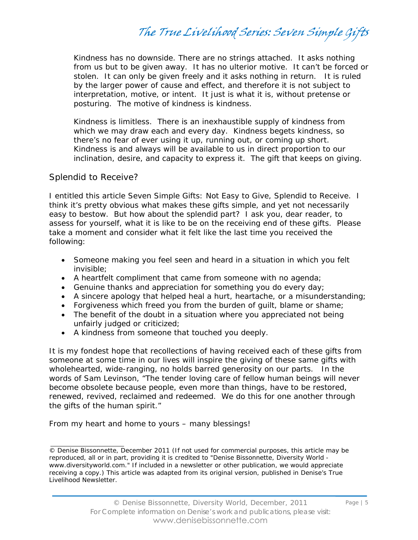*Kindness has no downside.* There are no strings attached. It asks nothing from us but to be given away. It has no ulterior motive. It can't be forced or stolen. It can only be given freely and it asks nothing in return. It is ruled by the larger power of cause and effect, and therefore it is not subject to interpretation, motive, or intent. It just is what it is, without pretense or posturing. The motive of kindness is kindness.

*Kindness is limitless*. There is an inexhaustible supply of kindness from which we may draw each and every day. Kindness begets kindness, so there's no fear of ever using it up, running out, or coming up short. Kindness is and always will be available to us in direct proportion to our inclination, desire, and capacity to express it. The gift that keeps on giving.

#### Splendid to Receive?

I entitled this article Seven Simple Gifts: Not Easy to Give, Splendid to Receive. I think it's pretty obvious what makes these gifts simple, and yet not necessarily easy to bestow. But how about the splendid part? I ask you, dear reader, to assess for yourself, what it is like to be on the receiving end of these gifts. Please take a moment and consider what it felt like the last time you received the following:

- Someone making you feel seen and heard in a situation in which you felt invisible;
- A heartfelt compliment that came from someone with no agenda;
- Genuine thanks and appreciation for something you do every day;
- A sincere apology that helped heal a hurt, heartache, or a misunderstanding;
- Forgiveness which freed you from the burden of guilt, blame or shame;
- The benefit of the doubt in a situation where you appreciated not being unfairly judged or criticized;
- A kindness from someone that touched you deeply.

It is my fondest hope that recollections of having received each of these gifts from someone at some time in our lives will inspire the giving of these same gifts with wholehearted, wide-ranging, no holds barred generosity on our parts. In the words of Sam Levinson, "The tender loving care of fellow human beings will never become obsolete because people, even more than things, have to be restored, renewed, revived, reclaimed and redeemed. We do this for one another through the gifts of the human spirit."

From my heart and home to yours – many blessings!

<sup>©</sup> Denise Bissonnette, December 2011 (If not used for commercial purposes, this article may be reproduced, all or in part, providing it is credited to "Denise Bissonnette, Diversity World www.diversityworld.com." If included in a newsletter or other publication, we would appreciate receiving a copy.) This article was adapted from its original version, published in Denise's *True Livelihood Newsletter*.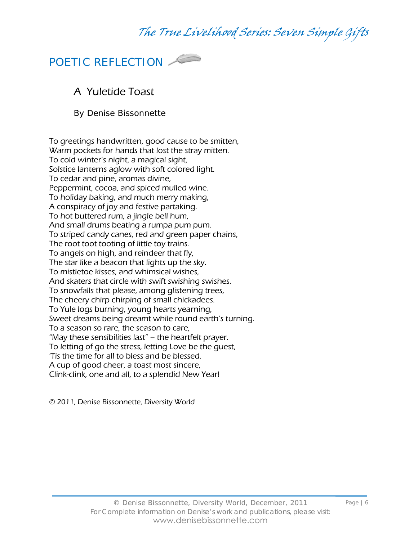

### A Yuletide Toast

By Denise Bissonnette

To greetings handwritten, good cause to be smitten, Warm pockets for hands that lost the stray mitten. To cold winter's night, a magical sight, Solstice lanterns aglow with soft colored light. To cedar and pine, aromas divine, Peppermint, cocoa, and spiced mulled wine. To holiday baking, and much merry making, A conspiracy of joy and festive partaking. To hot buttered rum, a jingle bell hum, And small drums beating a rumpa pum pum. To striped candy canes, red and green paper chains, The root toot tooting of little toy trains. To angels on high, and reindeer that fly, The star like a beacon that lights up the sky. To mistletoe kisses, and whimsical wishes, And skaters that circle with swift swishing swishes. To snowfalls that please, among glistening trees, The cheery chirp chirping of small chickadees. To Yule logs burning, young hearts yearning, Sweet dreams being dreamt while round earth's turning. To a season so rare, the season to care, "May these sensibilities last" – the heartfelt prayer. To letting of go the stress, letting Love be the guest, 'Tis the time for all to bless and be blessed. A cup of good cheer, a toast most sincere, Clink-clink, one and all, to a splendid New Year!

© 2011, Denise Bissonnette, Diversity World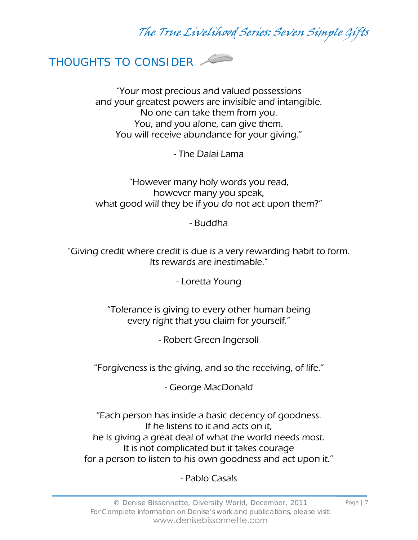

"Your most precious and valued possessions and your greatest powers are invisible and intangible. No one can take them from you. You, and you alone, can give them. You will receive abundance for your giving."

- The Dalai Lama

"However many holy words you read, however many you speak, what good will they be if you do not act upon them?"

- Buddha

"Giving credit where credit is due is a very rewarding habit to form. Its rewards are inestimable."

- Loretta Young

"Tolerance is giving to every other human being every right that you claim for yourself."

- Robert Green Ingersoll

"Forgiveness is the giving, and so the receiving, of life."

- George MacDonald

"Each person has inside a basic decency of goodness. If he listens to it and acts on it, he is giving a great deal of what the world needs most. It is not complicated but it takes courage for a person to listen to his own goodness and act upon it."

### - Pablo Casals